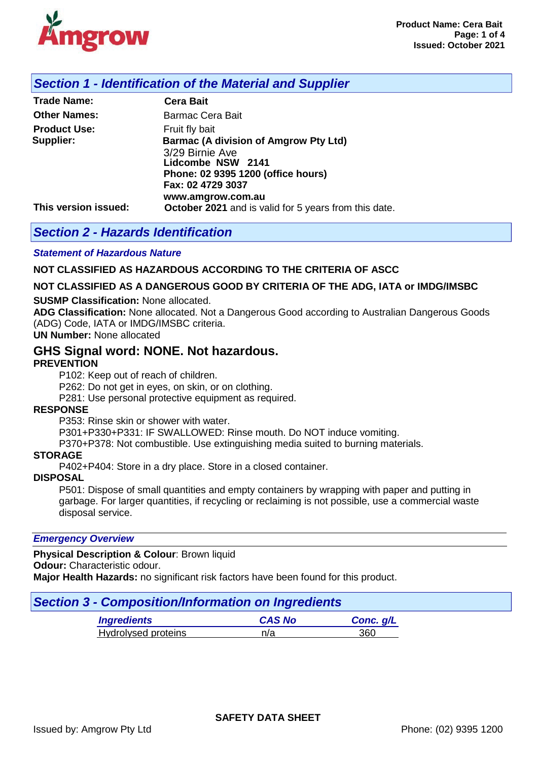

# *Section 1 - Identification of the Material and Supplier*

| $1.91$ and $1.11$ and $1.11$ and $1.11$ and $1.11$ and $1.11$ and $1.11$ and $1.11$ and $1.11$ and $1.11$ and $1.11$ and $1.11$ and $1.11$ and $1.11$ and $1.11$ and $1.11$ and $1.11$ and $1.11$ and $1.11$ and $1.11$ and |
|-----------------------------------------------------------------------------------------------------------------------------------------------------------------------------------------------------------------------------|
| <b>Cera Bait</b>                                                                                                                                                                                                            |
| <b>Barmac Cera Bait</b>                                                                                                                                                                                                     |
| Fruit fly bait                                                                                                                                                                                                              |
| <b>Barmac (A division of Amgrow Pty Ltd)</b>                                                                                                                                                                                |
| 3/29 Birnie Ave                                                                                                                                                                                                             |
| Lidcombe NSW 2141                                                                                                                                                                                                           |
| Phone: 02 9395 1200 (office hours)                                                                                                                                                                                          |
| Fax: 02 4729 3037                                                                                                                                                                                                           |
| www.amgrow.com.au                                                                                                                                                                                                           |
| This version issued:<br>October 2021 and is valid for 5 years from this date.                                                                                                                                               |
|                                                                                                                                                                                                                             |

## *Section 2 - Hazards Identification*

#### *Statement of Hazardous Nature*

#### **NOT CLASSIFIED AS HAZARDOUS ACCORDING TO THE CRITERIA OF ASCC**

#### **NOT CLASSIFIED AS A DANGEROUS GOOD BY CRITERIA OF THE ADG, IATA or IMDG/IMSBC**

#### **SUSMP Classification:** None allocated.

**ADG Classification:** None allocated. Not a Dangerous Good according to Australian Dangerous Goods (ADG) Code, IATA or IMDG/IMSBC criteria.

**UN Number:** None allocated

### **GHS Signal word: NONE. Not hazardous.**

#### **PREVENTION**

P102: Keep out of reach of children.

P262: Do not get in eyes, on skin, or on clothing.

P281: Use personal protective equipment as required.

#### **RESPONSE**

P353: Rinse skin or shower with water.

P301+P330+P331: IF SWALLOWED: Rinse mouth. Do NOT induce vomiting.

P370+P378: Not combustible. Use extinguishing media suited to burning materials.

#### **STORAGE**

P402+P404: Store in a dry place. Store in a closed container.

#### **DISPOSAL**

P501: Dispose of small quantities and empty containers by wrapping with paper and putting in garbage. For larger quantities, if recycling or reclaiming is not possible, use a commercial waste disposal service.

#### *Emergency Overview*

## **Physical Description & Colour**: Brown liquid

**Odour:** Characteristic odour.

**Major Health Hazards:** no significant risk factors have been found for this product.

## *Section 3 - Composition/Information on Ingredients*

| <b>Ingredients</b>  | <b>CAS No</b> | Conc. g/L |
|---------------------|---------------|-----------|
| Hydrolysed proteins | n/a           |           |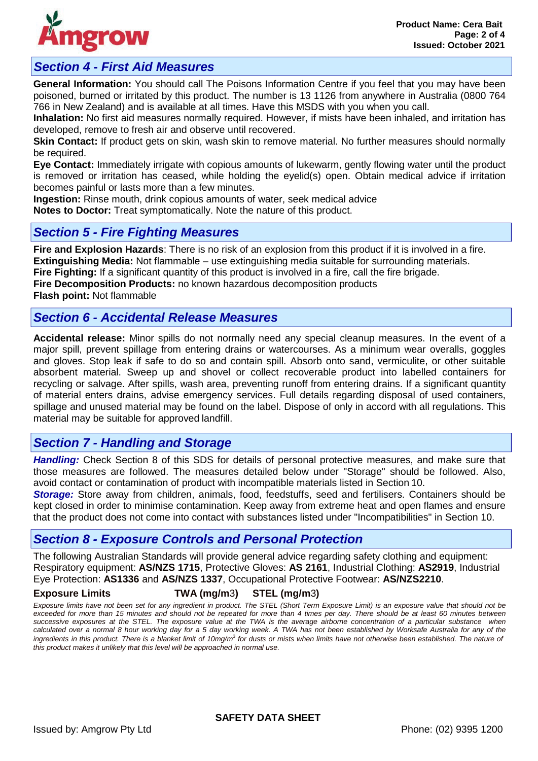

## *Section 4 - First Aid Measures*

**General Information:** You should call The Poisons Information Centre if you feel that you may have been poisoned, burned or irritated by this product. The number is 13 1126 from anywhere in Australia (0800 764 766 in New Zealand) and is available at all times. Have this MSDS with you when you call.

**Inhalation:** No first aid measures normally required. However, if mists have been inhaled, and irritation has developed, remove to fresh air and observe until recovered.

**Skin Contact:** If product gets on skin, wash skin to remove material. No further measures should normally be required.

**Eye Contact:** Immediately irrigate with copious amounts of lukewarm, gently flowing water until the product is removed or irritation has ceased, while holding the eyelid(s) open. Obtain medical advice if irritation becomes painful or lasts more than a few minutes.

**Ingestion:** Rinse mouth, drink copious amounts of water, seek medical advice

**Notes to Doctor:** Treat symptomatically. Note the nature of this product.

## *Section 5 - Fire Fighting Measures*

**Fire and Explosion Hazards**: There is no risk of an explosion from this product if it is involved in a fire. **Extinguishing Media:** Not flammable – use extinguishing media suitable for surrounding materials. **Fire Fighting:** If a significant quantity of this product is involved in a fire, call the fire brigade. **Fire Decomposition Products:** no known hazardous decomposition products **Flash point:** Not flammable

## *Section 6 - Accidental Release Measures*

**Accidental release:** Minor spills do not normally need any special cleanup measures. In the event of a major spill, prevent spillage from entering drains or watercourses. As a minimum wear overalls, goggles and gloves. Stop leak if safe to do so and contain spill. Absorb onto sand, vermiculite, or other suitable absorbent material. Sweep up and shovel or collect recoverable product into labelled containers for recycling or salvage. After spills, wash area, preventing runoff from entering drains. If a significant quantity of material enters drains, advise emergency services. Full details regarding disposal of used containers, spillage and unused material may be found on the label. Dispose of only in accord with all regulations. This material may be suitable for approved landfill.

## *Section 7 - Handling and Storage*

*Handling:* Check Section 8 of this SDS for details of personal protective measures, and make sure that those measures are followed. The measures detailed below under "Storage" should be followed. Also, avoid contact or contamination of product with incompatible materials listed in Section 10.

*Storage:* Store away from children, animals, food, feedstuffs, seed and fertilisers. Containers should be kept closed in order to minimise contamination. Keep away from extreme heat and open flames and ensure that the product does not come into contact with substances listed under "Incompatibilities" in Section 10.

## *Section 8 - Exposure Controls and Personal Protection*

The following Australian Standards will provide general advice regarding safety clothing and equipment: Respiratory equipment: **AS/NZS 1715**, Protective Gloves: **AS 2161**, Industrial Clothing: **AS2919**, Industrial Eye Protection: **AS1336** and **AS/NZS 1337**, Occupational Protective Footwear: **AS/NZS2210**.

### **Exposure Limits TWA (mg/m**3**) STEL (mg/m**3**)**

*Exposure limits have not been set for any ingredient in product. The STEL (Short Term Exposure Limit) is an exposure value that should not be*  exceeded for more than 15 minutes and should not be repeated for more than 4 times per day. There should be at least 60 minutes between successive exposures at the STEL. The exposure value at the TWA is the average airborne concentration of a particular substance when *calculated over a normal 8 hour working day for a 5 day working week. A TWA has not been established by Worksafe Australia for any of the*  ingredients in this product. There is a blanket limit of 10mg/m<sup>3</sup> for dusts or mists when limits have not otherwise been established. The nature of *this product makes it unlikely that this level will be approached in normal use.*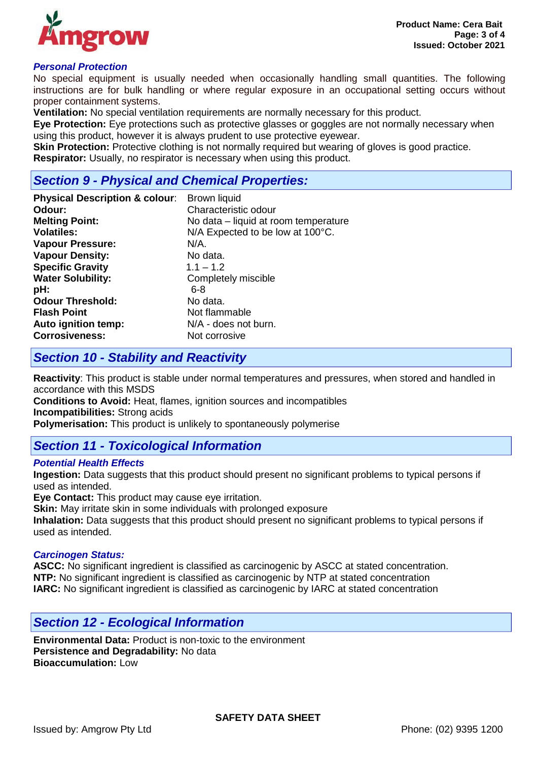

#### *Personal Protection*

No special equipment is usually needed when occasionally handling small quantities. The following instructions are for bulk handling or where regular exposure in an occupational setting occurs without proper containment systems.

**Ventilation:** No special ventilation requirements are normally necessary for this product.

**Eye Protection:** Eye protections such as protective glasses or goggles are not normally necessary when using this product, however it is always prudent to use protective eyewear.

 **Respirator:** Usually, no respirator is necessary when using this product.**Skin Protection:** Protective clothing is not normally required but wearing of gloves is good practice.

### *Section 9 - Physical and Chemical Properties:*

| <b>Physical Description &amp; colour:</b> | Brown liquid                         |
|-------------------------------------------|--------------------------------------|
| Odour:                                    | Characteristic odour                 |
| <b>Melting Point:</b>                     | No data – liquid at room temperature |
| <b>Volatiles:</b>                         | N/A Expected to be low at 100°C.     |
| <b>Vapour Pressure:</b>                   | $N/A$ .                              |
| <b>Vapour Density:</b>                    | No data.                             |
| <b>Specific Gravity</b>                   | $1.1 - 1.2$                          |
| <b>Water Solubility:</b>                  | Completely miscible                  |
| pH:                                       | 6-8                                  |
| <b>Odour Threshold:</b>                   | No data.                             |
| <b>Flash Point</b>                        | Not flammable                        |
| Auto ignition temp:                       | N/A - does not burn.                 |
| <b>Corrosiveness:</b>                     | Not corrosive                        |

#### *Section 10 - Stability and Reactivity*

**Reactivity**: This product is stable under normal temperatures and pressures, when stored and handled in accordance with this MSDS

**Conditions to Avoid:** Heat, flames, ignition sources and incompatibles **Incompatibilities:** Strong acids

**Polymerisation:** This product is unlikely to spontaneously polymerise

## *Section 11 - Toxicological Information*

#### *Potential Health Effects*

**Ingestion:** Data suggests that this product should present no significant problems to typical persons if used as intended.

**Eye Contact:** This product may cause eye irritation.

**Skin:** May irritate skin in some individuals with prolonged exposure

**Inhalation:** Data suggests that this product should present no significant problems to typical persons if used as intended.

#### *Carcinogen Status:*

**ASCC:** No significant ingredient is classified as carcinogenic by ASCC at stated concentration. **NTP:** No significant ingredient is classified as carcinogenic by NTP at stated concentration **IARC:** No significant ingredient is classified as carcinogenic by IARC at stated concentration

### *Section 12 - Ecological Information*

**Environmental Data:** Product is non-toxic to the environment **Persistence and Degradability:** No data **Bioaccumulation:** Low